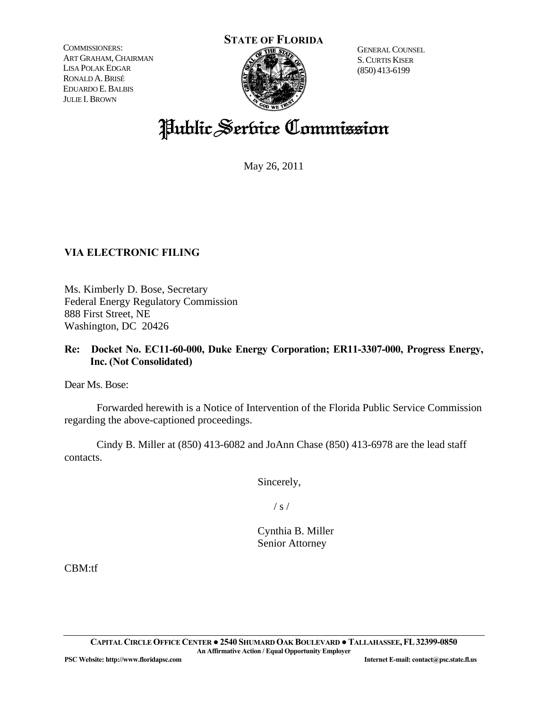COMMISSIONERS: ART GRAHAM, CHAIRMAN LISA POLAK EDGAR RONALD A.BRISÉ EDUARDO E.BALBIS JULIE I.BROWN



 S.CURTIS KISER (850) 413-6199

# Public Service Commission

May 26, 2011

## **VIA ELECTRONIC FILING**

Ms. Kimberly D. Bose, Secretary Federal Energy Regulatory Commission 888 First Street, NE Washington, DC 20426

### **Re: Docket No. EC11-60-000, Duke Energy Corporation; ER11-3307-000, Progress Energy, Inc. (Not Consolidated)**

Dear Ms. Bose:

 Forwarded herewith is a Notice of Intervention of the Florida Public Service Commission regarding the above-captioned proceedings.

 Cindy B. Miller at (850) 413-6082 and JoAnn Chase (850) 413-6978 are the lead staff contacts.

Sincerely,

 $\frac{1}{s}$  /

 Cynthia B. Miller Senior Attorney

CBM:tf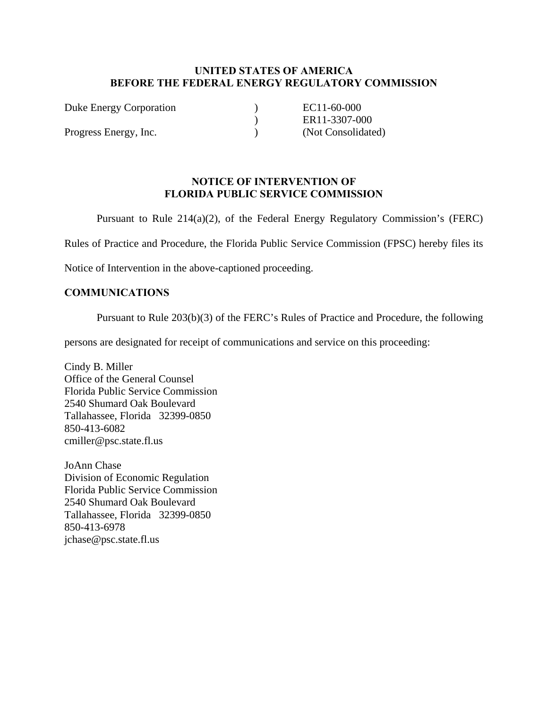#### **UNITED STATES OF AMERICA BEFORE THE FEDERAL ENERGY REGULATORY COMMISSION**

| Duke Energy Corporation | EC11-60-000        |
|-------------------------|--------------------|
|                         | ER11-3307-000      |
| Progress Energy, Inc.   | (Not Consolidated) |

#### **NOTICE OF INTERVENTION OF FLORIDA PUBLIC SERVICE COMMISSION**

Pursuant to Rule 214(a)(2), of the Federal Energy Regulatory Commission's (FERC)

Rules of Practice and Procedure, the Florida Public Service Commission (FPSC) hereby files its

Notice of Intervention in the above-captioned proceeding.

#### **COMMUNICATIONS**

Pursuant to Rule 203(b)(3) of the FERC's Rules of Practice and Procedure, the following

persons are designated for receipt of communications and service on this proceeding:

Cindy B. Miller Office of the General Counsel Florida Public Service Commission 2540 Shumard Oak Boulevard Tallahassee, Florida 32399-0850 850-413-6082 cmiller@psc.state.fl.us

JoAnn Chase Division of Economic Regulation Florida Public Service Commission 2540 Shumard Oak Boulevard Tallahassee, Florida 32399-0850 850-413-6978 jchase@psc.state.fl.us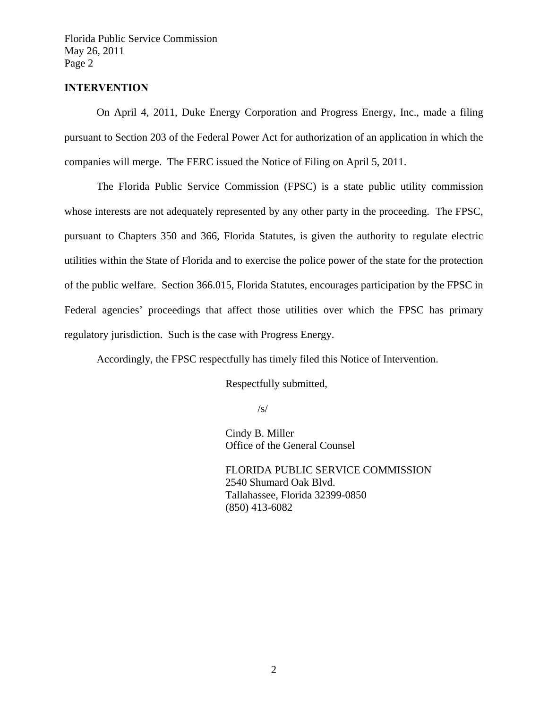Florida Public Service Commission May 26, 2011 Page 2

#### **INTERVENTION**

 On April 4, 2011, Duke Energy Corporation and Progress Energy, Inc., made a filing pursuant to Section 203 of the Federal Power Act for authorization of an application in which the companies will merge. The FERC issued the Notice of Filing on April 5, 2011.

 The Florida Public Service Commission (FPSC) is a state public utility commission whose interests are not adequately represented by any other party in the proceeding. The FPSC, pursuant to Chapters 350 and 366, Florida Statutes, is given the authority to regulate electric utilities within the State of Florida and to exercise the police power of the state for the protection of the public welfare. Section 366.015, Florida Statutes, encourages participation by the FPSC in Federal agencies' proceedings that affect those utilities over which the FPSC has primary regulatory jurisdiction. Such is the case with Progress Energy.

Accordingly, the FPSC respectfully has timely filed this Notice of Intervention.

Respectfully submitted,

 $\sqrt{s}$ /

 Cindy B. Miller Office of the General Counsel

 FLORIDA PUBLIC SERVICE COMMISSION 2540 Shumard Oak Blvd. Tallahassee, Florida 32399-0850 (850) 413-6082